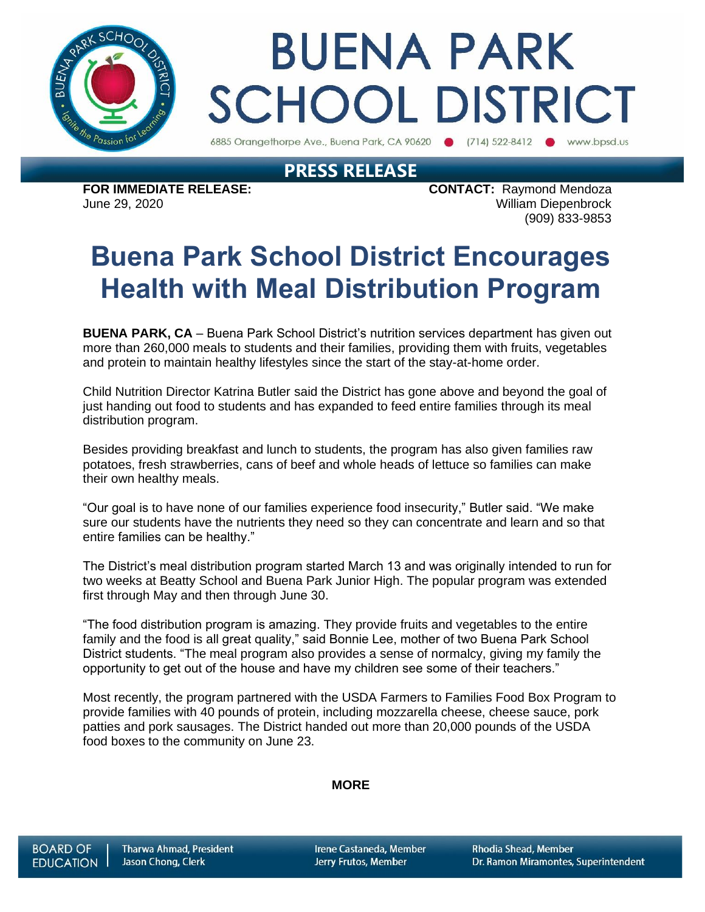

# **BUENA PARK SCHOOL DISTRICT**

6885 Orangethorpe Ave., Buena Park, CA 90620 (714) 522-8412 www.bpsd.us

### **PRESS RELEASE**

**FOR IMMEDIATE RELEASE: CONTACT:** Raymond Mendoza June 29, 2020 William Diepenbrock (909) 833-9853

## **Buena Park School District Encourages Health with Meal Distribution Program**

**BUENA PARK, CA** – Buena Park School District's nutrition services department has given out more than 260,000 meals to students and their families, providing them with fruits, vegetables and protein to maintain healthy lifestyles since the start of the stay-at-home order.

Child Nutrition Director Katrina Butler said the District has gone above and beyond the goal of just handing out food to students and has expanded to feed entire families through its meal distribution program.

Besides providing breakfast and lunch to students, the program has also given families raw potatoes, fresh strawberries, cans of beef and whole heads of lettuce so families can make their own healthy meals.

"Our goal is to have none of our families experience food insecurity," Butler said. "We make sure our students have the nutrients they need so they can concentrate and learn and so that entire families can be healthy."

The District's meal distribution program started March 13 and was originally intended to run for two weeks at Beatty School and Buena Park Junior High. The popular program was extended first through May and then through June 30.

"The food distribution program is amazing. They provide fruits and vegetables to the entire family and the food is all great quality," said Bonnie Lee, mother of two Buena Park School District students. "The meal program also provides a sense of normalcy, giving my family the opportunity to get out of the house and have my children see some of their teachers."

Most recently, the program partnered with the USDA Farmers to Families Food Box Program to provide families with 40 pounds of protein, including mozzarella cheese, cheese sauce, pork patties and pork sausages. The District handed out more than 20,000 pounds of the USDA food boxes to the community on June 23.

#### **MORE**